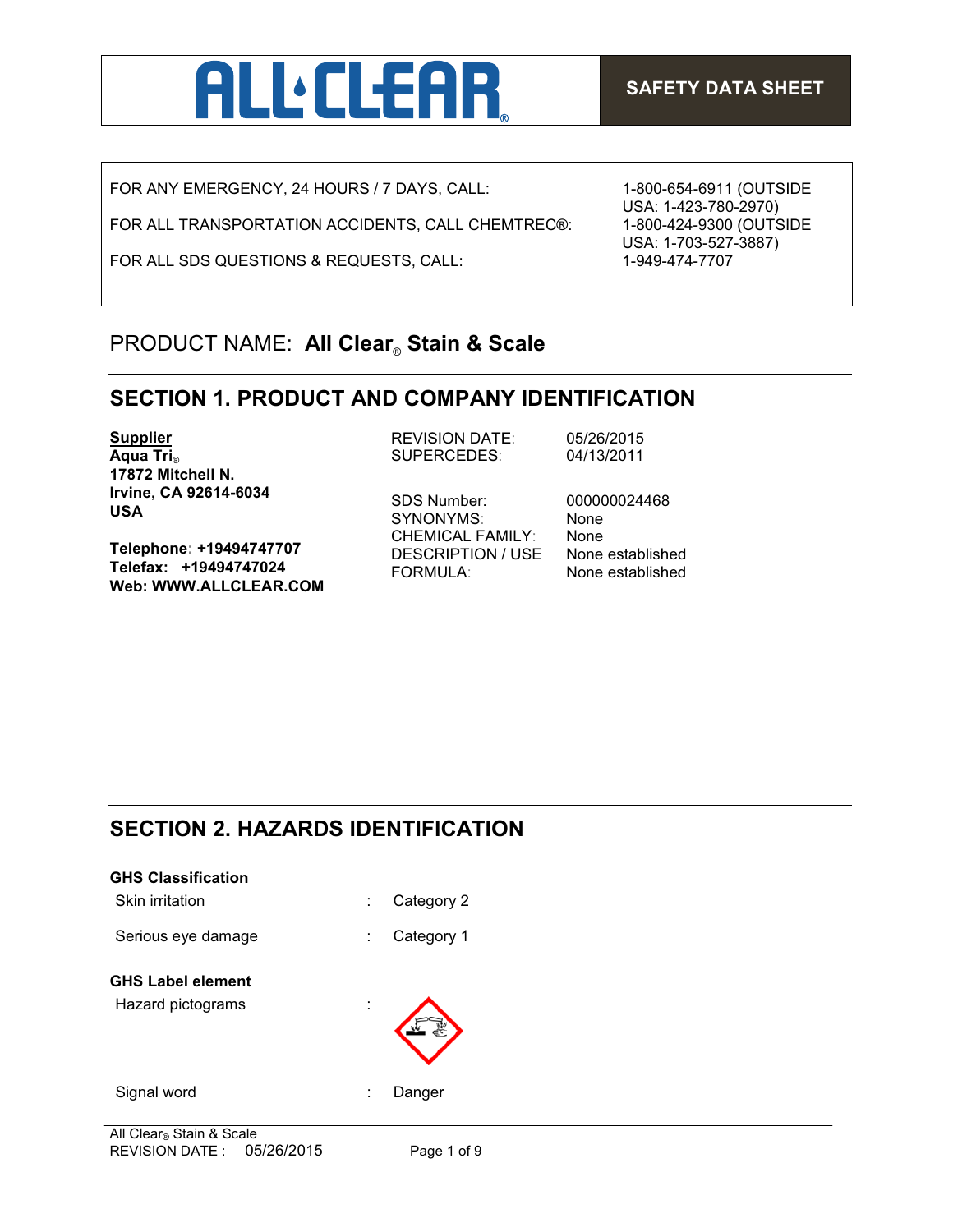

FOR ANY EMERGENCY, 24 HOURS / 7 DAYS, CALL:

FOR ALL TRANSPORTATION ACCIDENTS, CALL CHEMTREC®:

FOR ALL SDS QUESTIONS & REQUESTS, CALL:

1-800-654-6911 (OUTSIDE USA: 1-423-780-2970) 1-800-424-9300 (OUTSIDE USA: 1-703-527-3887) 1-949-474-7707

## PRODUCT NAME: **All Clear**® **Stain & Scale**

## **SECTION 1. PRODUCT AND COMPANY IDENTIFICATION**

**Supplier Aqua Tri**® **17872 Mitchell N. Irvine, CA 92614-6034 USA**

**Telephone: +19494747707 Telefax: +19494747024 Web: WWW.ALLCLEAR.COM** REVISION DATE: 05/26/2015 SUPERCEDES: 04/13/2011

SDS Number: 000000024468 SYNONYMS: None CHEMICAL FAMILY: None DESCRIPTION / USE None established FORMULA: None established

# **SECTION 2. HAZARDS IDENTIFICATION**

| <b>GHS Classification</b> |   |            |
|---------------------------|---|------------|
| Skin irritation           | ÷ | Category 2 |
| Serious eye damage        | ÷ | Category 1 |
| <b>GHS Label element</b>  |   |            |
| Hazard pictograms         |   |            |
| Signal word               |   | Danger     |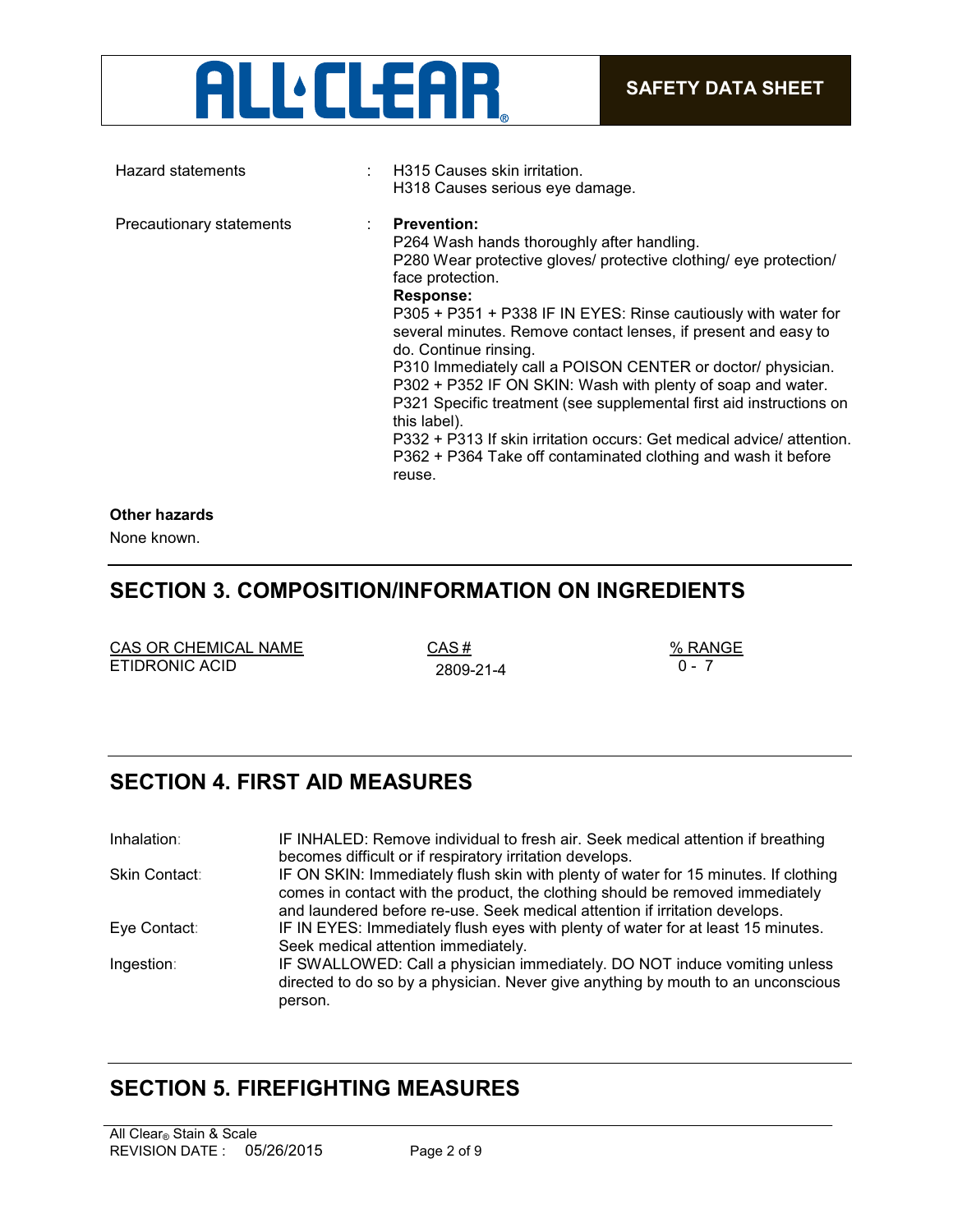# **ALL** CLEAR

| Hazard statements        | H315 Causes skin irritation.<br>H318 Causes serious eye damage.                                                                                                                                                                                                                                                                                                                                                                                                                                                                                                                                                                                                                                              |
|--------------------------|--------------------------------------------------------------------------------------------------------------------------------------------------------------------------------------------------------------------------------------------------------------------------------------------------------------------------------------------------------------------------------------------------------------------------------------------------------------------------------------------------------------------------------------------------------------------------------------------------------------------------------------------------------------------------------------------------------------|
| Precautionary statements | <b>Prevention:</b><br>P264 Wash hands thoroughly after handling.<br>P280 Wear protective gloves/ protective clothing/ eye protection/<br>face protection.<br>Response:<br>P305 + P351 + P338 IF IN EYES: Rinse cautiously with water for<br>several minutes. Remove contact lenses, if present and easy to<br>do. Continue rinsing.<br>P310 Immediately call a POISON CENTER or doctor/ physician.<br>P302 + P352 IF ON SKIN: Wash with plenty of soap and water.<br>P321 Specific treatment (see supplemental first aid instructions on<br>this label).<br>P332 + P313 If skin irritation occurs: Get medical advice/ attention.<br>P362 + P364 Take off contaminated clothing and wash it before<br>reuse. |
|                          |                                                                                                                                                                                                                                                                                                                                                                                                                                                                                                                                                                                                                                                                                                              |

## **Other hazards**

None known.

## **SECTION 3. COMPOSITION/INFORMATION ON INGREDIENTS**

| CAS OR CHEMICAL NAME | CAS #     | $%$ RAN |
|----------------------|-----------|---------|
| ETIDRONIC ACID       | 2809-21-4 |         |

 $\frac{CAS \#}{2800.21.4}$   $\frac{\% RANGE}{0.5}$ 

# **SECTION 4. FIRST AID MEASURES**

| Inhalation:   | IF INHALED: Remove individual to fresh air. Seek medical attention if breathing<br>becomes difficult or if respiratory irritation develops.                                                                                                         |
|---------------|-----------------------------------------------------------------------------------------------------------------------------------------------------------------------------------------------------------------------------------------------------|
| Skin Contact: | IF ON SKIN: Immediately flush skin with plenty of water for 15 minutes. If clothing<br>comes in contact with the product, the clothing should be removed immediately<br>and laundered before re-use. Seek medical attention if irritation develops. |
| Eye Contact:  | IF IN EYES: Immediately flush eyes with plenty of water for at least 15 minutes.<br>Seek medical attention immediately.                                                                                                                             |
| Ingestion:    | IF SWALLOWED: Call a physician immediately. DO NOT induce vomiting unless<br>directed to do so by a physician. Never give anything by mouth to an unconscious<br>person.                                                                            |

## **SECTION 5. FIREFIGHTING MEASURES**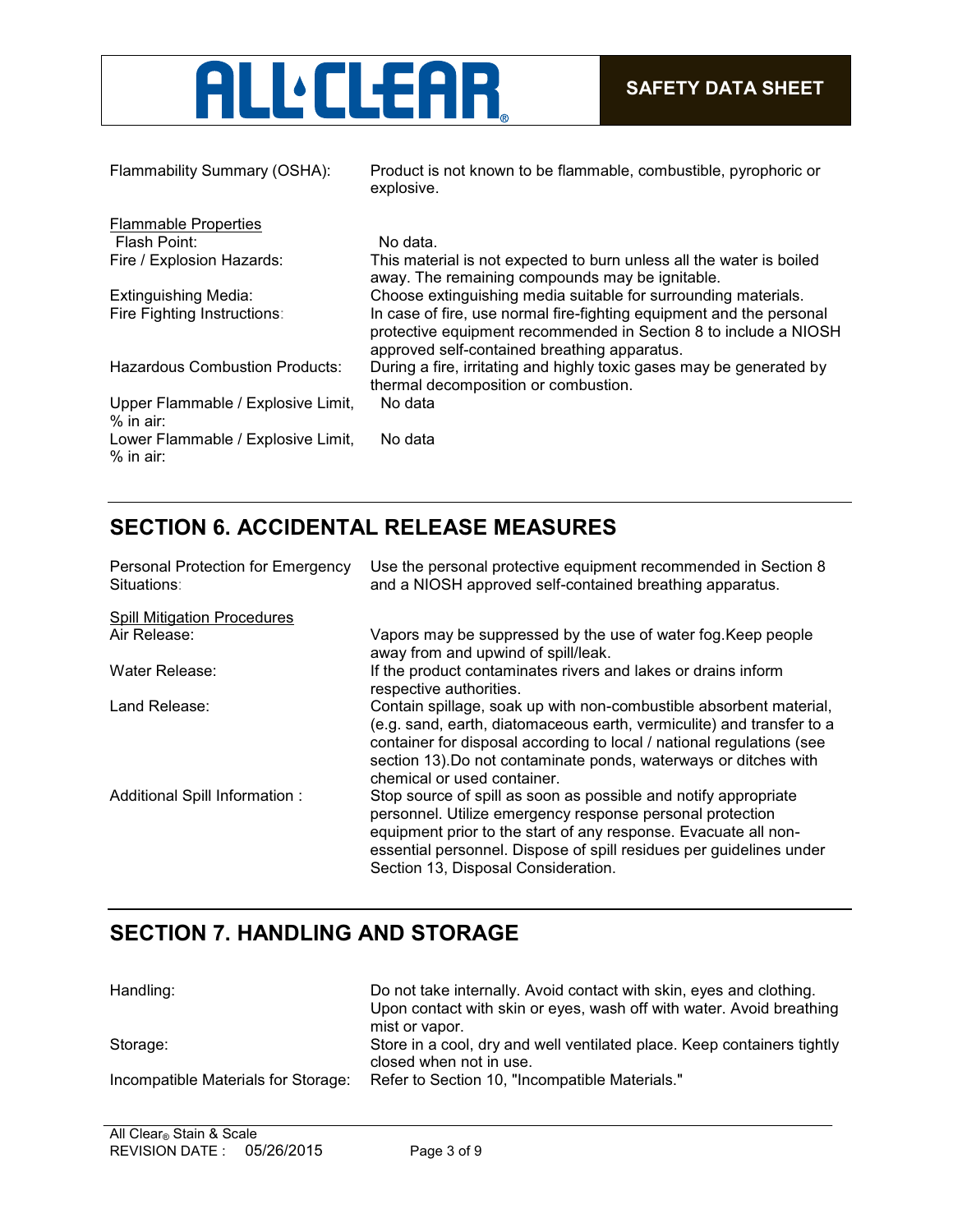

| Flammability Summary (OSHA):                      | Product is not known to be flammable, combustible, pyrophoric or<br>explosive.                                                                                                           |
|---------------------------------------------------|------------------------------------------------------------------------------------------------------------------------------------------------------------------------------------------|
| <b>Flammable Properties</b>                       |                                                                                                                                                                                          |
| Flash Point:                                      | No data.                                                                                                                                                                                 |
| Fire / Explosion Hazards:                         | This material is not expected to burn unless all the water is boiled<br>away. The remaining compounds may be ignitable.                                                                  |
| Extinguishing Media:                              | Choose extinguishing media suitable for surrounding materials.                                                                                                                           |
| Fire Fighting Instructions:                       | In case of fire, use normal fire-fighting equipment and the personal<br>protective equipment recommended in Section 8 to include a NIOSH<br>approved self-contained breathing apparatus. |
| <b>Hazardous Combustion Products:</b>             | During a fire, irritating and highly toxic gases may be generated by<br>thermal decomposition or combustion.                                                                             |
| Upper Flammable / Explosive Limit,<br>$%$ in air: | No data                                                                                                                                                                                  |
| Lower Flammable / Explosive Limit,<br>$%$ in air: | No data                                                                                                                                                                                  |

## **SECTION 6. ACCIDENTAL RELEASE MEASURES**

| Personal Protection for Emergency<br>Situations: | Use the personal protective equipment recommended in Section 8<br>and a NIOSH approved self-contained breathing apparatus.                                                                                                                                                                                              |
|--------------------------------------------------|-------------------------------------------------------------------------------------------------------------------------------------------------------------------------------------------------------------------------------------------------------------------------------------------------------------------------|
| <b>Spill Mitigation Procedures</b>               |                                                                                                                                                                                                                                                                                                                         |
| Air Release:                                     | Vapors may be suppressed by the use of water fog. Keep people<br>away from and upwind of spill/leak.                                                                                                                                                                                                                    |
| Water Release:                                   | If the product contaminates rivers and lakes or drains inform<br>respective authorities.                                                                                                                                                                                                                                |
| Land Release:                                    | Contain spillage, soak up with non-combustible absorbent material,<br>(e.g. sand, earth, diatomaceous earth, vermiculite) and transfer to a<br>container for disposal according to local / national regulations (see<br>section 13). Do not contaminate ponds, waterways or ditches with<br>chemical or used container. |
| Additional Spill Information :                   | Stop source of spill as soon as possible and notify appropriate<br>personnel. Utilize emergency response personal protection<br>equipment prior to the start of any response. Evacuate all non-<br>essential personnel. Dispose of spill residues per guidelines under<br>Section 13, Disposal Consideration.           |

# **SECTION 7. HANDLING AND STORAGE**

| Handling:                           | Do not take internally. Avoid contact with skin, eyes and clothing.<br>Upon contact with skin or eyes, wash off with water. Avoid breathing<br>mist or vapor. |
|-------------------------------------|---------------------------------------------------------------------------------------------------------------------------------------------------------------|
| Storage:                            | Store in a cool, dry and well ventilated place. Keep containers tightly<br>closed when not in use.                                                            |
| Incompatible Materials for Storage: | Refer to Section 10, "Incompatible Materials."                                                                                                                |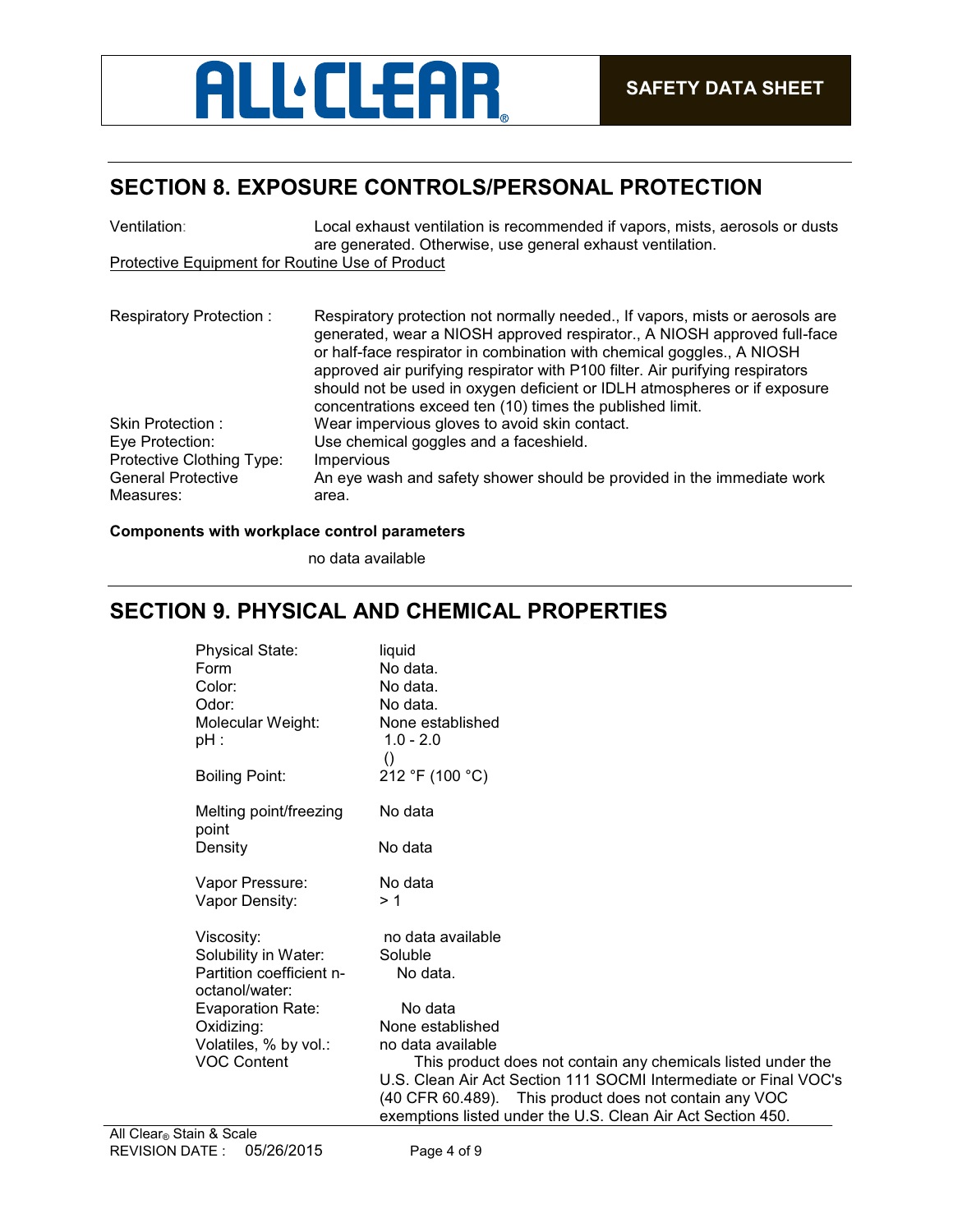# **ALL** CLEAR

# **SECTION 8. EXPOSURE CONTROLS/PERSONAL PROTECTION**

| Ventilation:                                    | Local exhaust ventilation is recommended if vapors, mists, aerosols or dusts                                                                                                                                                                                                                                                                                                                                                                                   |  |  |
|-------------------------------------------------|----------------------------------------------------------------------------------------------------------------------------------------------------------------------------------------------------------------------------------------------------------------------------------------------------------------------------------------------------------------------------------------------------------------------------------------------------------------|--|--|
| Protective Equipment for Routine Use of Product | are generated. Otherwise, use general exhaust ventilation.                                                                                                                                                                                                                                                                                                                                                                                                     |  |  |
|                                                 |                                                                                                                                                                                                                                                                                                                                                                                                                                                                |  |  |
| <b>Respiratory Protection:</b>                  | Respiratory protection not normally needed., If vapors, mists or aerosols are<br>generated, wear a NIOSH approved respirator., A NIOSH approved full-face<br>or half-face respirator in combination with chemical goggles., A NIOSH<br>approved air purifying respirator with P100 filter. Air purifying respirators<br>should not be used in oxygen deficient or IDLH atmospheres or if exposure<br>concentrations exceed ten (10) times the published limit. |  |  |
| Skin Protection:                                | Wear impervious gloves to avoid skin contact.                                                                                                                                                                                                                                                                                                                                                                                                                  |  |  |
| Eye Protection:                                 | Use chemical goggles and a faceshield.                                                                                                                                                                                                                                                                                                                                                                                                                         |  |  |
| Protective Clothing Type:                       | <b>Impervious</b>                                                                                                                                                                                                                                                                                                                                                                                                                                              |  |  |
| <b>General Protective</b>                       | An eye wash and safety shower should be provided in the immediate work                                                                                                                                                                                                                                                                                                                                                                                         |  |  |
| Measures:                                       | area.                                                                                                                                                                                                                                                                                                                                                                                                                                                          |  |  |

## **Components with workplace control parameters**

no data available

## **SECTION 9. PHYSICAL AND CHEMICAL PROPERTIES**

| <b>Physical State:</b>                     | liquid                                                           |
|--------------------------------------------|------------------------------------------------------------------|
| Form                                       | No data.                                                         |
| Color:                                     | No data.                                                         |
| Odor:                                      | No data.                                                         |
| Molecular Weight:                          | None established                                                 |
| $pH$ :                                     | $1.0 - 2.0$                                                      |
|                                            | $\left( \right)$                                                 |
| <b>Boiling Point:</b>                      | 212 °F (100 °C)                                                  |
| Melting point/freezing<br>point            | No data                                                          |
| Density                                    | No data                                                          |
| Vapor Pressure:                            | No data                                                          |
| Vapor Density:                             | >1                                                               |
| Viscosity:                                 | no data available                                                |
| Solubility in Water:                       | Soluble                                                          |
| Partition coefficient n-<br>octanol/water: | No data.                                                         |
| <b>Evaporation Rate:</b>                   | No data                                                          |
| Oxidizing:                                 | None established                                                 |
| Volatiles, % by vol.:                      | no data available                                                |
| <b>VOC Content</b>                         | This product does not contain any chemicals listed under the     |
|                                            | U.S. Clean Air Act Section 111 SOCMI Intermediate or Final VOC's |
|                                            | (40 CFR 60.489). This product does not contain any VOC           |
|                                            | exemptions listed under the U.S. Clean Air Act Section 450.      |
| in & Scale                                 |                                                                  |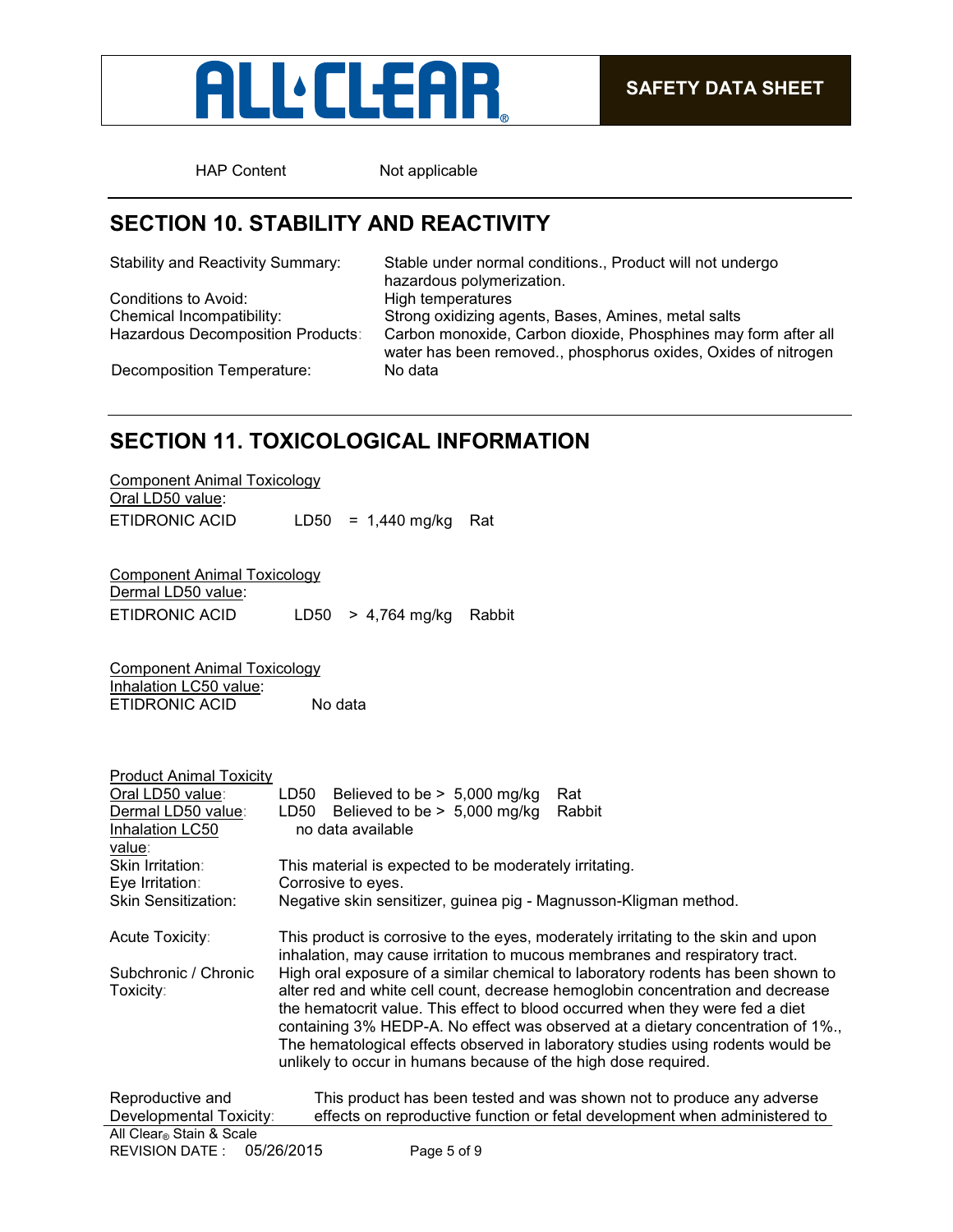

HAP Content Not applicable

## **SECTION 10. STABILITY AND REACTIVITY**

Conditions to Avoid:

Stability and Reactivity Summary: Stable under normal conditions., Product will not undergo hazardous polymerization.<br>High temperatures Chemical Incompatibility: Strong oxidizing agents, Bases, Amines, metal salts Carbon monoxide, Carbon dioxide, Phosphines may form after all water has been removed., phosphorus oxides, Oxides of nitrogen Decomposition Temperature: No data

**SECTION 11. TOXICOLOGICAL INFORMATION**

| Component Animal Toxicology |                          |  |
|-----------------------------|--------------------------|--|
| Oral LD50 value:            |                          |  |
| ETIDRONIC ACID              | $LD50 = 1,440$ mg/kg Rat |  |

Component Animal Toxicology Dermal LD50 value: ETIDRONIC ACID LD50 > 4,764 mg/kg Rabbit

Component Animal Toxicology Inhalation LC50 value: ETIDRONIC ACID No data

| <b>Product Animal Toxicity</b>              |      |                                                                  |                                                                                                                                                                                                                                                                                                                                                                                                                          |
|---------------------------------------------|------|------------------------------------------------------------------|--------------------------------------------------------------------------------------------------------------------------------------------------------------------------------------------------------------------------------------------------------------------------------------------------------------------------------------------------------------------------------------------------------------------------|
| Oral LD50 value:                            | LD50 | Believed to be $> 5,000$ mg/kg                                   | Rat                                                                                                                                                                                                                                                                                                                                                                                                                      |
| Dermal LD50 value:                          | LD50 | Believed to be $> 5,000$ mg/kg                                   | Rabbit                                                                                                                                                                                                                                                                                                                                                                                                                   |
| Inhalation LC50                             |      | no data available                                                |                                                                                                                                                                                                                                                                                                                                                                                                                          |
| value:                                      |      |                                                                  |                                                                                                                                                                                                                                                                                                                                                                                                                          |
| <b>Skin Irritation:</b>                     |      | This material is expected to be moderately irritating.           |                                                                                                                                                                                                                                                                                                                                                                                                                          |
| Eye Irritation:                             |      | Corrosive to eyes.                                               |                                                                                                                                                                                                                                                                                                                                                                                                                          |
| <b>Skin Sensitization:</b>                  |      | Negative skin sensitizer, guinea pig - Magnusson-Kligman method. |                                                                                                                                                                                                                                                                                                                                                                                                                          |
| Acute Toxicity:                             |      |                                                                  | This product is corrosive to the eyes, moderately irritating to the skin and upon<br>inhalation, may cause irritation to mucous membranes and respiratory tract.                                                                                                                                                                                                                                                         |
| Subchronic / Chronic<br>Toxicity:           |      | unlikely to occur in humans because of the high dose required.   | High oral exposure of a similar chemical to laboratory rodents has been shown to<br>alter red and white cell count, decrease hemoglobin concentration and decrease<br>the hematocrit value. This effect to blood occurred when they were fed a diet<br>containing 3% HEDP-A. No effect was observed at a dietary concentration of 1%.<br>The hematological effects observed in laboratory studies using rodents would be |
| Reproductive and<br>Developmental Toxicity: |      |                                                                  | This product has been tested and was shown not to produce any adverse<br>effects on reproductive function or fetal development when administered to                                                                                                                                                                                                                                                                      |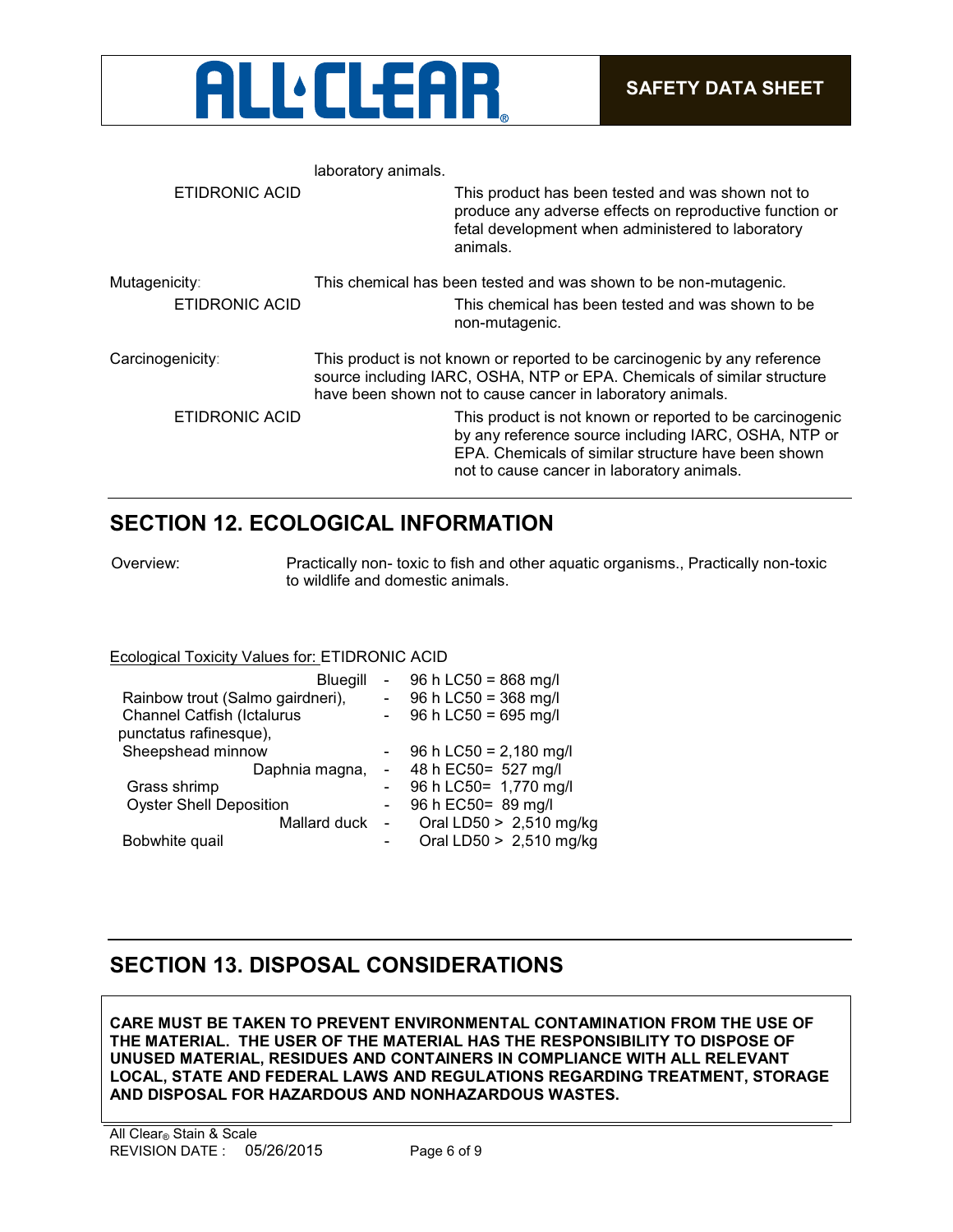

| laboratory animals. |                                                                                                                                                                                                                       |
|---------------------|-----------------------------------------------------------------------------------------------------------------------------------------------------------------------------------------------------------------------|
|                     | This product has been tested and was shown not to<br>produce any adverse effects on reproductive function or<br>fetal development when administered to laboratory<br>animals.                                         |
|                     | This chemical has been tested and was shown to be non-mutagenic.                                                                                                                                                      |
|                     | This chemical has been tested and was shown to be<br>non-mutagenic.                                                                                                                                                   |
|                     | This product is not known or reported to be carcinogenic by any reference<br>source including IARC, OSHA, NTP or EPA. Chemicals of similar structure<br>have been shown not to cause cancer in laboratory animals.    |
|                     | This product is not known or reported to be carcinogenic<br>by any reference source including IARC, OSHA, NTP or<br>EPA. Chemicals of similar structure have been shown<br>not to cause cancer in laboratory animals. |
|                     |                                                                                                                                                                                                                       |

## **SECTION 12. ECOLOGICAL INFORMATION**

Overview: Practically non- toxic to fish and other aquatic organisms., Practically non-toxic to wildlife and domestic animals.

## Ecological Toxicity Values for: ETIDRONIC ACID

| Bluegill                          |                          | $-96 h$ LC50 = 868 mg/l  |
|-----------------------------------|--------------------------|--------------------------|
|                                   |                          |                          |
| Rainbow trout (Salmo gairdneri),  |                          | 96 h LC50 = 368 mg/l     |
| <b>Channel Catfish (Ictalurus</b> |                          | 96 h LC50 = 695 mg/l     |
| punctatus rafinesque),            |                          |                          |
| Sheepshead minnow                 |                          | 96 h LC50 = $2,180$ mg/l |
| Daphnia magna,                    |                          | 48 h EC50= 527 mg/l      |
| Grass shrimp                      |                          | 96 h LC50= 1,770 mg/l    |
| <b>Oyster Shell Deposition</b>    |                          | 96 h EC50 = 89 mg/l      |
| Mallard duck                      | $\overline{\phantom{a}}$ | Oral LD50 > 2,510 mg/kg  |
| Bobwhite quail                    |                          | Oral LD50 > 2,510 mg/kg  |
|                                   |                          |                          |

## **SECTION 13. DISPOSAL CONSIDERATIONS**

**CARE MUST BE TAKEN TO PREVENT ENVIRONMENTAL CONTAMINATION FROM THE USE OF THE MATERIAL. THE USER OF THE MATERIAL HAS THE RESPONSIBILITY TO DISPOSE OF UNUSED MATERIAL, RESIDUES AND CONTAINERS IN COMPLIANCE WITH ALL RELEVANT LOCAL, STATE AND FEDERAL LAWS AND REGULATIONS REGARDING TREATMENT, STORAGE AND DISPOSAL FOR HAZARDOUS AND NONHAZARDOUS WASTES.**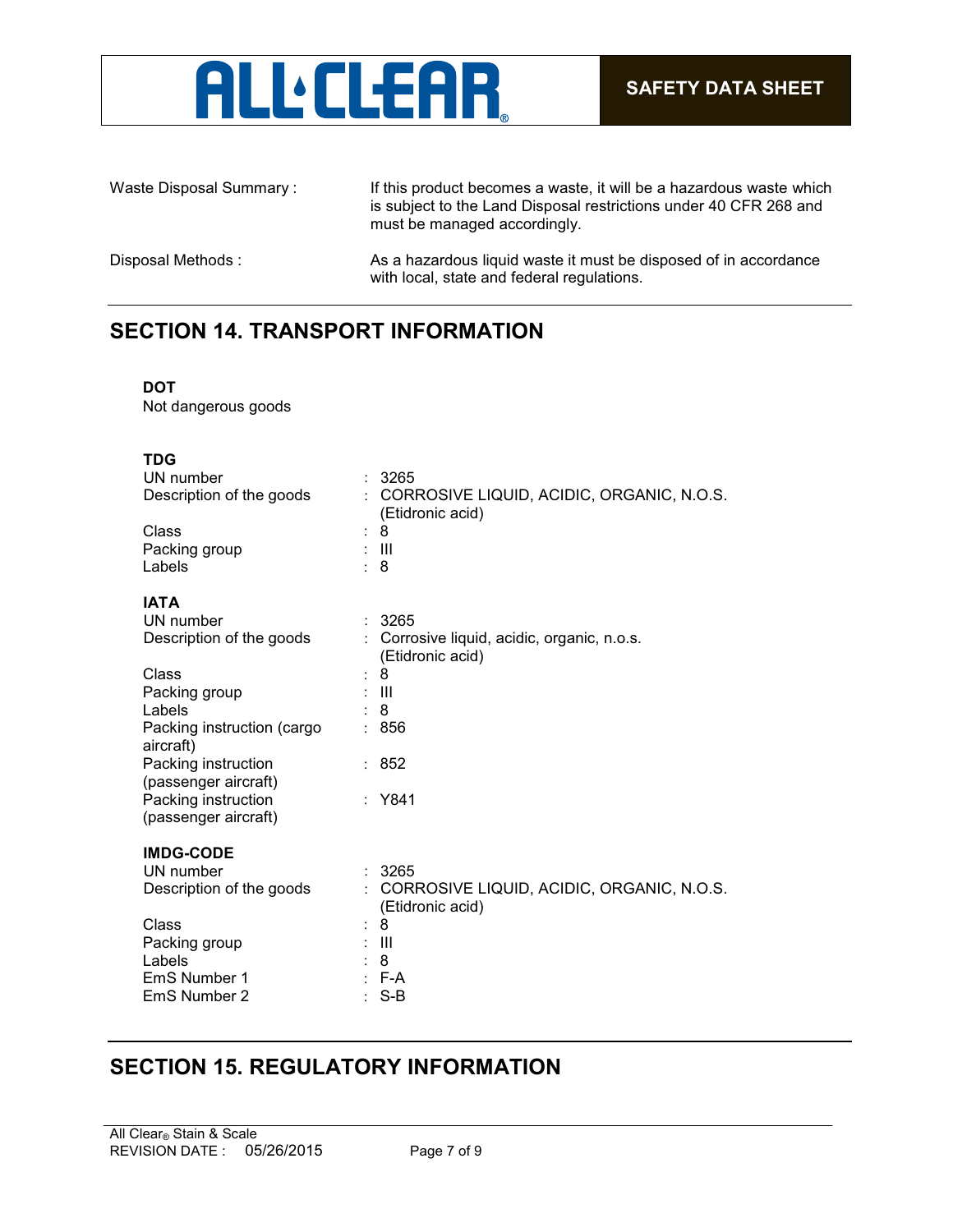

Waste Disposal Summary : If this product becomes a waste, it will be a hazardous waste which is subject to the Land Disposal restrictions under 40 CFR 268 and must be managed accordingly. Disposal Methods : As a hazardous liquid waste it must be disposed of in accordance with local, state and federal regulations.

## **SECTION 14. TRANSPORT INFORMATION**

### **DOT**

Not dangerous goods

| <b>TDG</b><br>UN number<br>Description of the goods<br>$\ddot{\cdot}$<br>Class<br>$\ddot{\cdot}$<br>Packing group<br>Labels | : 3265<br>CORROSIVE LIQUID, ACIDIC, ORGANIC, N.O.S.<br>(Etidronic acid)<br>8<br>$\pm$ 111<br>$\therefore$ 8 |
|-----------------------------------------------------------------------------------------------------------------------------|-------------------------------------------------------------------------------------------------------------|
| <b>IATA</b><br>UN number                                                                                                    | : 3265                                                                                                      |
| Description of the goods                                                                                                    | : Corrosive liquid, acidic, organic, n.o.s.<br>(Etidronic acid)                                             |
| Class                                                                                                                       | 8                                                                                                           |
| Packing group                                                                                                               | : III                                                                                                       |
| Labels                                                                                                                      | 8                                                                                                           |
| Packing instruction (cargo<br>aircraft)                                                                                     | : 856                                                                                                       |
| Packing instruction<br>(passenger aircraft)                                                                                 | : 852                                                                                                       |
| Packing instruction<br>(passenger aircraft)                                                                                 | : Y841                                                                                                      |
|                                                                                                                             |                                                                                                             |
| <b>IMDG-CODE</b>                                                                                                            |                                                                                                             |
| UN number                                                                                                                   | : 3265                                                                                                      |
| Description of the goods                                                                                                    | CORROSIVE LIQUID, ACIDIC, ORGANIC, N.O.S.<br>(Etidronic acid)                                               |
| Class<br>$\ddot{\phantom{0}}$                                                                                               | -8                                                                                                          |
| Packing group                                                                                                               | Ш                                                                                                           |
| Labels                                                                                                                      | 8                                                                                                           |
| EmS Number 1                                                                                                                | $: F-A$                                                                                                     |
| EmS Number 2                                                                                                                | $S-B$                                                                                                       |

## **SECTION 15. REGULATORY INFORMATION**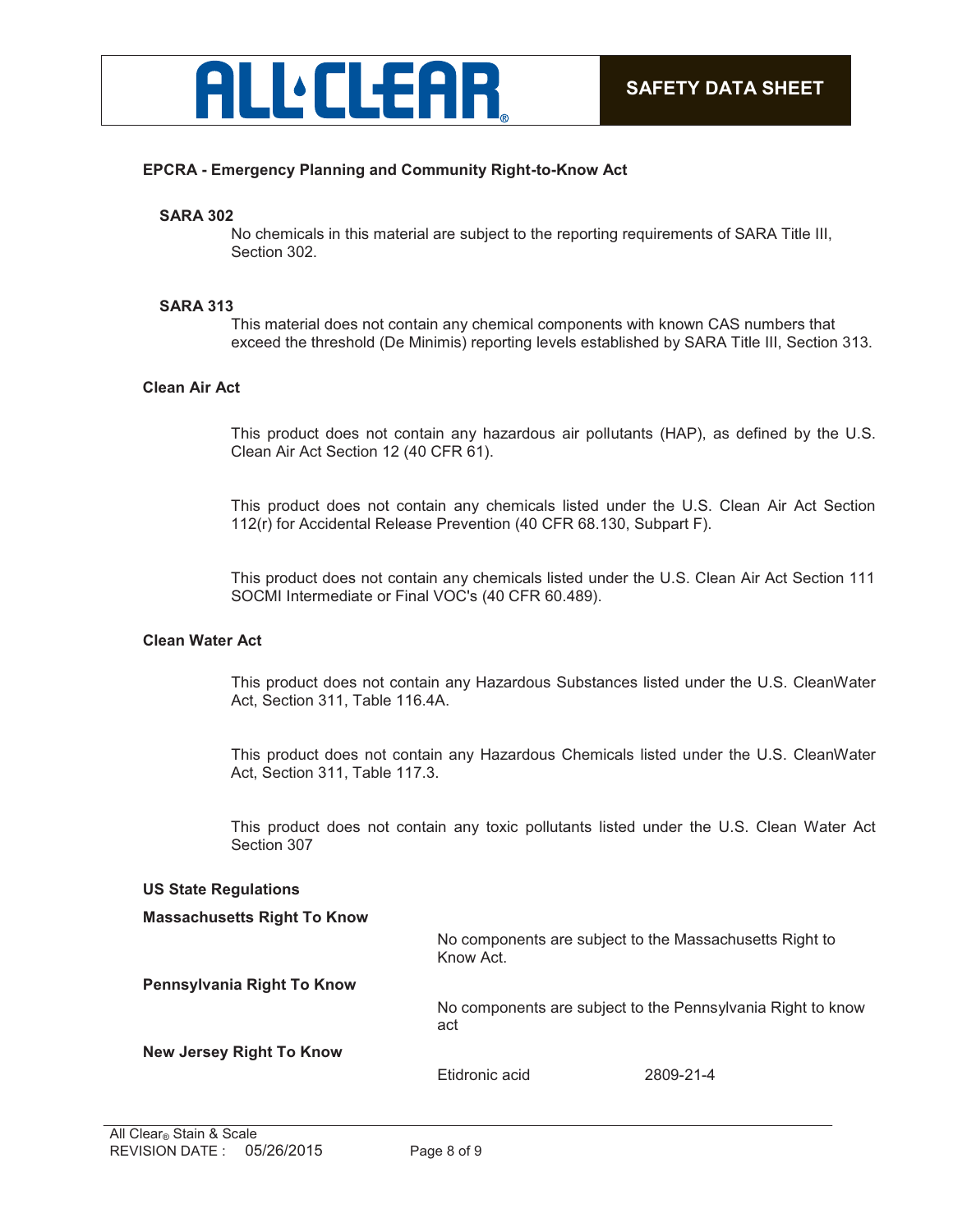

## **EPCRA - Emergency Planning and Community Right-to-Know Act**

#### **SARA 302**

No chemicals in this material are subject to the reporting requirements of SARA Title III, Section 302.

#### **SARA 313**

This material does not contain any chemical components with known CAS numbers that exceed the threshold (De Minimis) reporting levels established by SARA Title III, Section 313.

## **Clean Air Act**

This product does not contain any hazardous air pollutants (HAP), as defined by the U.S. Clean Air Act Section 12 (40 CFR 61).

This product does not contain any chemicals listed under the U.S. Clean Air Act Section 112(r) for Accidental Release Prevention (40 CFR 68.130, Subpart F).

This product does not contain any chemicals listed under the U.S. Clean Air Act Section 111 SOCMI Intermediate or Final VOC's (40 CFR 60.489).

#### **Clean Water Act**

This product does not contain any Hazardous Substances listed under the U.S. CleanWater Act, Section 311, Table 116.4A.

This product does not contain any Hazardous Chemicals listed under the U.S. CleanWater Act, Section 311, Table 117.3.

This product does not contain any toxic pollutants listed under the U.S. Clean Water Act Section 307

#### **US State Regulations**

#### **Massachusetts Right To Know**

No components are subject to the Massachusetts Right to Know Act.

**Pennsylvania Right To Know**

No components are subject to the Pennsylvania Right to know act

#### **New Jersey Right To Know**

Etidronic acid 2809-21-4